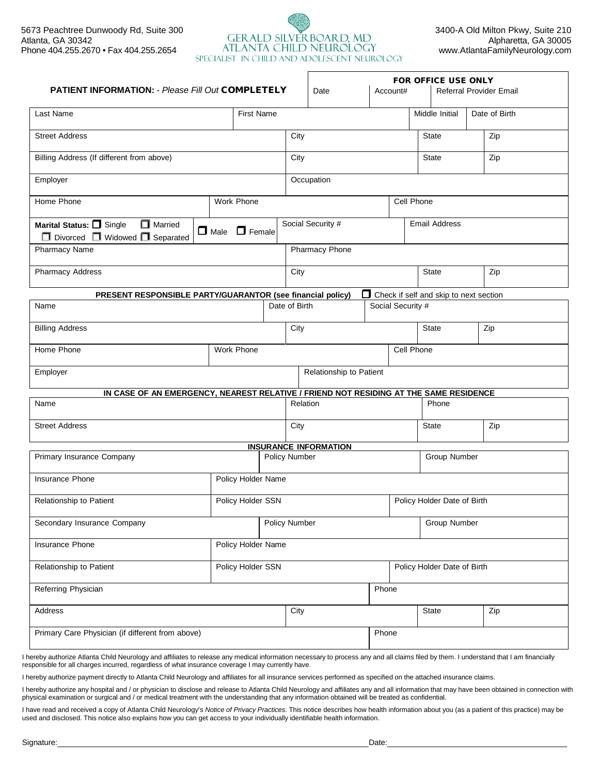# 5673 Peachtree Dunwoody Rd, Suite 300 SERALD SILVERBOARD, MD 3400-A Old Milton Pkwy, Suite 210<br>Allanta, GA 30342 Alpharetta, GA 30005 GERALD SILVERBOARD, MD<br>Alpharetta, GA 30005<br>ATLANTA CHILD NEUROLOGY www.AtlantaFamilyNeurology.com Phone 404.255.2670 • Fax 404.255.2654 AILANIA CHILD NEUROLOGY [www.AtlantaFamilyNeurology.com](http://www.atlantafamilyneurology.com/)<br>SPECIALIST IN CHILD AND ADOLESCENT NEUROLOGY

| <b>PATIENT INFORMATION: - Please Fill Out COMPLETELY</b>                              |                           |               | Date                                      | Account#          | FOR OFFICE USE ONLY                    | Referral Provider Email |  |
|---------------------------------------------------------------------------------------|---------------------------|---------------|-------------------------------------------|-------------------|----------------------------------------|-------------------------|--|
| Last Name                                                                             | <b>First Name</b>         |               |                                           |                   | Middle Initial                         | Date of Birth           |  |
| <b>Street Address</b>                                                                 |                           |               | City                                      |                   | <b>State</b>                           | Zip                     |  |
| Billing Address (If different from above)                                             |                           |               | City                                      |                   | <b>State</b>                           | Zip                     |  |
| Employer                                                                              |                           |               | Occupation                                |                   |                                        |                         |  |
| Home Phone                                                                            | Work Phone                |               |                                           | Cell Phone        |                                        |                         |  |
| Married<br>Marital Status: Single<br>$\Box$ Divorced $\Box$ Widowed $\Box$ Separated  | $\Box$ Male $\Box$ Female |               | Social Security #<br><b>Email Address</b> |                   |                                        |                         |  |
| Pharmacy Name                                                                         |                           |               | Pharmacy Phone                            |                   |                                        |                         |  |
| Pharmacy Address                                                                      |                           | City          |                                           |                   | <b>State</b>                           | Zip                     |  |
| PRESENT RESPONSIBLE PARTY/GUARANTOR (see financial policy)                            |                           |               |                                           |                   | Check if self and skip to next section |                         |  |
| Name                                                                                  |                           | Date of Birth |                                           | Social Security # |                                        |                         |  |
| <b>Billing Address</b>                                                                |                           | City          |                                           |                   | <b>State</b>                           | Zip                     |  |
| Home Phone<br>Work Phone                                                              |                           |               | Cell Phone                                |                   |                                        |                         |  |
| Employer<br>Relationship to Patient                                                   |                           |               |                                           |                   |                                        |                         |  |
| IN CASE OF AN EMERGENCY, NEAREST RELATIVE / FRIEND NOT RESIDING AT THE SAME RESIDENCE |                           |               |                                           |                   |                                        |                         |  |
| Name                                                                                  |                           |               | Relation                                  |                   | Phone                                  |                         |  |
| <b>Street Address</b>                                                                 |                           | City          |                                           |                   | <b>State</b>                           | Zip                     |  |
|                                                                                       |                           |               | <b>INSURANCE INFORMATION</b>              |                   |                                        |                         |  |
| Primary Insurance Company                                                             |                           | Policy Number | Group Number                              |                   |                                        |                         |  |
| Insurance Phone                                                                       | Policy Holder Name        |               |                                           |                   |                                        |                         |  |
| Relationship to Patient                                                               | Policy Holder SSN         |               |                                           |                   | Policy Holder Date of Birth            |                         |  |
| Secondary Insurance Company                                                           |                           | Policy Number |                                           |                   | Group Number                           |                         |  |
| Policy Holder Name<br>Insurance Phone                                                 |                           |               |                                           |                   |                                        |                         |  |
| Relationship to Patient<br>Policy Holder SSN                                          |                           |               | Policy Holder Date of Birth               |                   |                                        |                         |  |
| Referring Physician                                                                   |                           |               |                                           | Phone             |                                        |                         |  |
| Address                                                                               |                           |               | City<br>State<br>Zip                      |                   |                                        |                         |  |
| Primary Care Physician (if different from above)                                      | Phone                     |               |                                           |                   |                                        |                         |  |

I hereby authorize Atlanta Child Neurology and affiliates to release any medical information necessary to process any and all claims filed by them. I understand that I am financially responsible for all charges incurred, regardless of what insurance coverage I may currently have.

I hereby authorize payment directly to Atlanta Child Neurology and affiliates for all insurance services performed as specified on the attached insurance claims.

I hereby authorize any hospital and / or physician to disclose and release to Atlanta Child Neurology and affiliates any and all information that may have been obtained in connection with physical examination or surgical and / or medical treatment with the understanding that any information obtained will be treated as confidential.

I have read and received a copy of Atlanta Child Neurology's *Notice of Privacy Practices*. This notice describes how health information about you (as a patient of this practice) may be used and disclosed. This notice also explains how you can get access to your individually identifiable health information.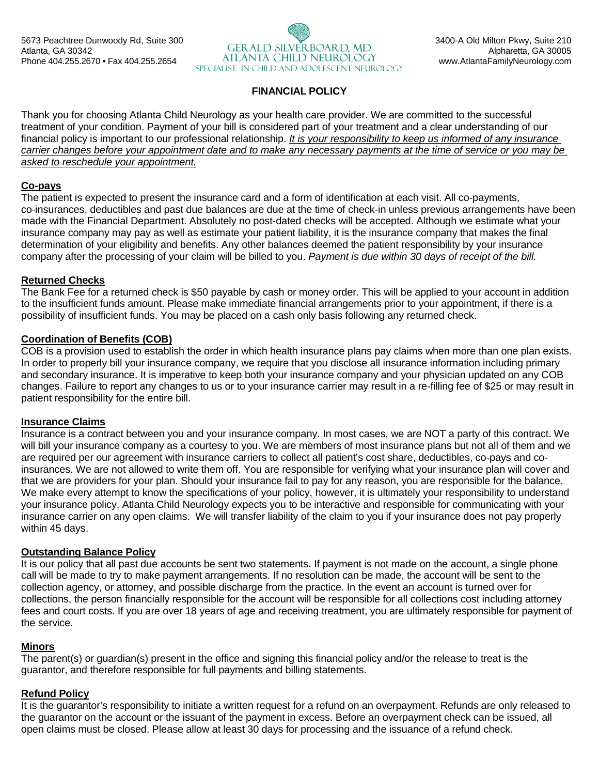

### **FINANCIAL POLICY**

Thank you for choosing Atlanta Child Neurology as your health care provider. We are committed to the successful treatment of your condition. Payment of your bill is considered part of your treatment and a clear understanding of our financial policy is important to our professional relationship. *It is your responsibility to keep us informed of any insurance carrier changes before your appointment date and to make any necessary payments at the time of service or you may be asked to reschedule your appointment.*

#### **Co-pays**

The patient is expected to present the insurance card and a form of identification at each visit. All co-payments, co-insurances, deductibles and past due balances are due at the time of check-in unless previous arrangements have been made with the Financial Department. Absolutely no post-dated checks will be accepted. Although we estimate what your insurance company may pay as well as estimate your patient liability, it is the insurance company that makes the final determination of your eligibility and benefits. Any other balances deemed the patient responsibility by your insurance company after the processing of your claim will be billed to you. *Payment is due within 30 days of receipt of the bill.*

#### **Returned Checks**

The Bank Fee for a returned check is \$50 payable by cash or money order. This will be applied to your account in addition to the insufficient funds amount. Please make immediate financial arrangements prior to your appointment, if there is a possibility of insufficient funds. You may be placed on a cash only basis following any returned check.

#### **Coordination of Benefits (COB)**

COB is a provision used to establish the order in which health insurance plans pay claims when more than one plan exists. In order to properly bill your insurance company, we require that you disclose all insurance information including primary and secondary insurance. It is imperative to keep both your insurance company and your physician updated on any COB changes. Failure to report any changes to us or to your insurance carrier may result in a re-filling fee of \$25 or may result in patient responsibility for the entire bill.

#### **Insurance Claims**

Insurance is a contract between you and your insurance company. In most cases, we are NOT a party of this contract. We will bill your insurance company as a courtesy to you. We are members of most insurance plans but not all of them and we are required per our agreement with insurance carriers to collect all patient's cost share, deductibles, co-pays and coinsurances. We are not allowed to write them off. You are responsible for verifying what your insurance plan will cover and that we are providers for your plan. Should your insurance fail to pay for any reason, you are responsible for the balance. We make every attempt to know the specifications of your policy, however, it is ultimately your responsibility to understand your insurance policy. Atlanta Child Neurology expects you to be interactive and responsible for communicating with your insurance carrier on any open claims. We will transfer liability of the claim to you if your insurance does not pay properly within 45 days.

#### **Outstanding Balance Policy**

It is our policy that all past due accounts be sent two statements. If payment is not made on the account, a single phone call will be made to try to make payment arrangements. If no resolution can be made, the account will be sent to the collection agency, or attorney, and possible discharge from the practice. In the event an account is turned over for collections, the person financially responsible for the account will be responsible for all collections cost including attorney fees and court costs. If you are over 18 years of age and receiving treatment, you are ultimately responsible for payment of the service.

#### **Minors**

The parent(s) or guardian(s) present in the office and signing this financial policy and/or the release to treat is the guarantor, and therefore responsible for full payments and billing statements.

#### **Refund Policy**

It is the guarantor's responsibility to initiate a written request for a refund on an overpayment. Refunds are only released to the guarantor on the account or the issuant of the payment in excess. Before an overpayment check can be issued, all open claims must be closed. Please allow at least 30 days for processing and the issuance of a refund check.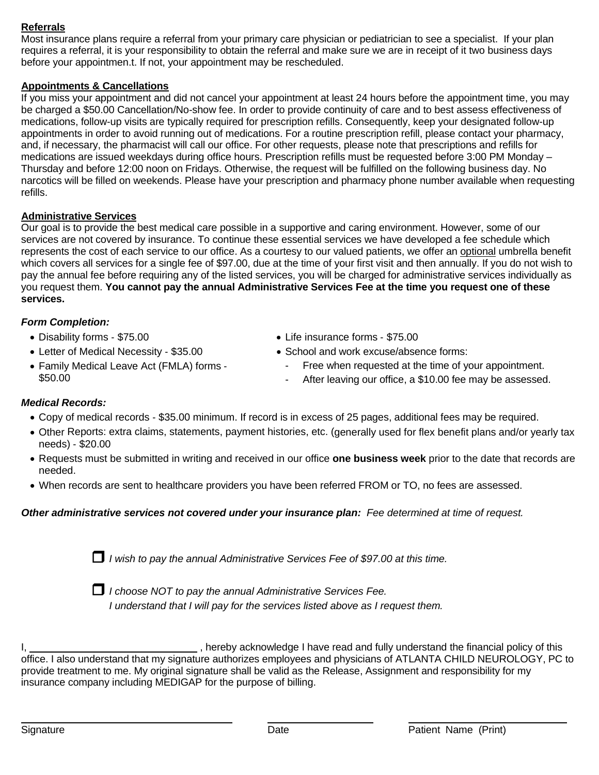### **Referrals**

Most insurance plans require a referral from your primary care physician or pediatrician to see a specialist. If your plan requires a referral, it is your responsibility to obtain the referral and make sure we are in receipt of it two business days before your appointmen.t. If not, your appointment may be rescheduled.

## **Appointments & Cancellations**

If you miss your appointment and did not cancel your appointment at least 24 hours before the appointment time, you may be charged a \$50.00 Cancellation/No-show fee. In order to provide continuity of care and to best assess effectiveness of medications, follow-up visits are typically required for prescription refills. Consequently, keep your designated follow-up appointments in order to avoid running out of medications. For a routine prescription refill, please contact your pharmacy, and, if necessary, the pharmacist will call our office. For other requests, please note that prescriptions and refills for medications are issued weekdays during office hours. Prescription refills must be requested before 3:00 PM Monday – Thursday and before 12:00 noon on Fridays. Otherwise, the request will be fulfilled on the following business day. No narcotics will be filled on weekends. Please have your prescription and pharmacy phone number available when requesting refills.

#### **Administrative Services**

Our goal is to provide the best medical care possible in a supportive and caring environment. However, some of our services are not covered by insurance. To continue these essential services we have developed a fee schedule which represents the cost of each service to our office. As a courtesy to our valued patients, we offer an optional umbrella benefit which covers all services for a single fee of \$97.00, due at the time of your first visit and then annually. If you do not wish to pay the annual fee before requiring any of the listed services, you will be charged for administrative services individually as you request them. **You cannot pay the annual Administrative Services Fee at the time you request one of these services.**

#### *Form Completion:*

- Disability forms ‐ \$75.00
- Letter of Medical Necessity ‐ \$35.00
- Life insurance forms ‐ \$75.00
- School and work excuse/absence forms:
- Family Medical Leave Act (FMLA) forms ‐ \$50.00
- Free when requested at the time of your appointment.
- After leaving our office, a \$10.00 fee may be assessed.

#### *Medical Records:*

- Copy of medical records ‐ \$35.00 minimum. If record is in excess of 25 pages, additional fees may be required.
- Other Reports: extra claims, statements, payment histories, etc. (generally used for flex benefit plans and/or yearly tax needs) ‐ \$20.00
- Requests must be submitted in writing and received in our office **one business week** prior to the date that records are needed.
- When records are sent to healthcare providers you have been referred FROM or TO, no fees are assessed.

#### *Other administrative services not covered under your insurance plan: Fee determined at time of request.*

*<sup>I</sup> wish to pay the annual Administrative Services Fee of \$97.00 at this time.*



 *<sup>I</sup> choose NOT to pay the annual Administrative Services Fee. I understand that I will pay for the services listed above as I request them.*

I, state of this controller problems in hereby acknowledge I have read and fully understand the financial policy of this office. I also understand that my signature authorizes employees and physicians of ATLANTA CHILD NEUROLOGY, PC to provide treatment to me. My original signature shall be valid as the Release, Assignment and responsibility for my insurance company including MEDIGAP for the purpose of billing.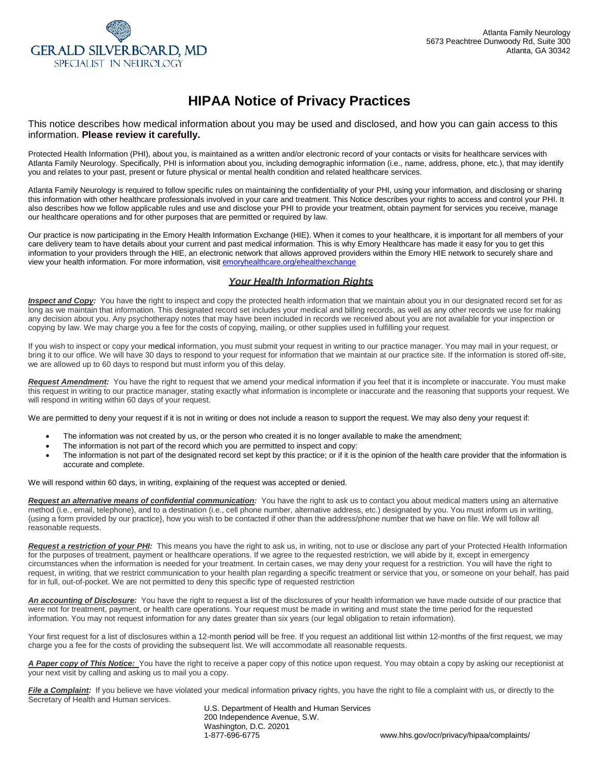

# **HIPAA Notice of Privacy Practices**

This notice describes how medical information about you may be used and disclosed, and how you can gain access to this information. **Please review it carefully.**

Protected Health Information (PHI), about you, is maintained as a written and/or electronic record of your contacts or visits for healthcare services with Atlanta Family Neurology. Specifically, PHI is information about you, including demographic information (i.e., name, address, phone, etc.), that may identify you and relates to your past, present or future physical or mental health condition and related healthcare services.

Atlanta Family Neurology is required to follow specific rules on maintaining the confidentiality of your PHI, using your information, and disclosing or sharing this information with other healthcare professionals involved in your care and treatment. This Notice describes your rights to access and control your PHI. It also describes how we follow applicable rules and use and disclose your PHI to provide your treatment, obtain payment for services you receive, manage our healthcare operations and for other purposes that are permitted or required by law.

Our practice is now participating in the Emory Health Information Exchange (HIE). When it comes to your healthcare, it is important for all members of your care delivery team to have details about your current and past medical information. This is why Emory Healthcare has made it easy for you to get this information to your providers through the HIE, an electronic network that allows approved providers within the Emory HIE network to securely share and view your health information. For more information, visit emoryhealthcare.org/ehealthexchange

#### *Your Health Information Rights*

**Inspect and Copy:** You have the right to inspect and copy the protected health information that we maintain about you in our designated record set for as long as we maintain that information. This designated record set includes your medical and billing records, as well as any other records we use for making any decision about you. Any psychotherapy notes that may have been included in records we received about you are not available for your inspection or copying by law. We may charge you a fee for the costs of copying, mailing, or other supplies used in fulfilling your request.

If you wish to inspect or copy your medical information, you must submit your request in writing to our practice manager. You may mail in your request, or bring it to our office. We will have 30 days to respond to your request for information that we maintain at our practice site. If the information is stored off-site, we are allowed up to 60 days to respond but must inform you of this delay.

*Request Amendment:* You have the right to request that we amend your medical information if you feel that it is incomplete or inaccurate. You must make this request in writing to our practice manager, stating exactly what information is incomplete or inaccurate and the reasoning that supports your request. We will respond in writing within 60 days of your request.

We are permitted to deny your request if it is not in writing or does not include a reason to support the request. We may also deny your request if:

- The information was not created by us, or the person who created it is no longer available to make the amendment;
- The information is not part of the record which you are permitted to inspect and copy:
- The information is not part of the designated record set kept by this practice; or if it is the opinion of the health care provider that the information is accurate and complete.

We will respond within 60 days, in writing, explaining of the request was accepted or denied.

*Request an alternative means of confidential communication:* You have the right to ask us to contact you about medical matters using an alternative method (i.e., email, telephone), and to a destination (i.e., cell phone number, alternative address, etc.) designated by you. You must inform us in writing, {using a form provided by our practice}, how you wish to be contacted if other than the address/phone number that we have on file. We will follow all reasonable requests.

*Request a restriction of your PHI:* This means you have the right to ask us, in writing, not to use or disclose any part of your Protected Health Information for the purposes of treatment, payment or healthcare operations. If we agree to the requested restriction, we will abide by it, except in emergency circumstances when the information is needed for your treatment. In certain cases, we may deny your request for a restriction. You will have the right to request, in writing, that we restrict communication to your health plan regarding a specific treatment or service that you, or someone on your behalf, has paid for in full, out-of-pocket. We are not permitted to deny this specific type of requested restriction

*An accounting of Disclosure:* You have the right to request a list of the disclosures of your health information we have made outside of our practice that were not for treatment, payment, or health care operations. Your request must be made in writing and must state the time period for the requested information. You may not request information for any dates greater than six years (our legal obligation to retain information).

Your first request for a list of disclosures within a 12-month period will be free. If you request an additional list within 12-months of the first request, we may charge you a fee for the costs of providing the subsequent list. We will accommodate all reasonable requests.

*A Paper copy of This Notice:* You have the right to receive a paper copy of this notice upon request. You may obtain a copy by asking our receptionist at your next visit by calling and asking us to mail you a copy.

File a Complaint: If you believe we have violated your medical information privacy rights, you have the right to file a complaint with us, or directly to the Secretary of Health and Human services.

U.S. Department of Health and Human Services 200 Independence Avenue, S.W. Washington, D.C. 20201<br>1-877-696-6775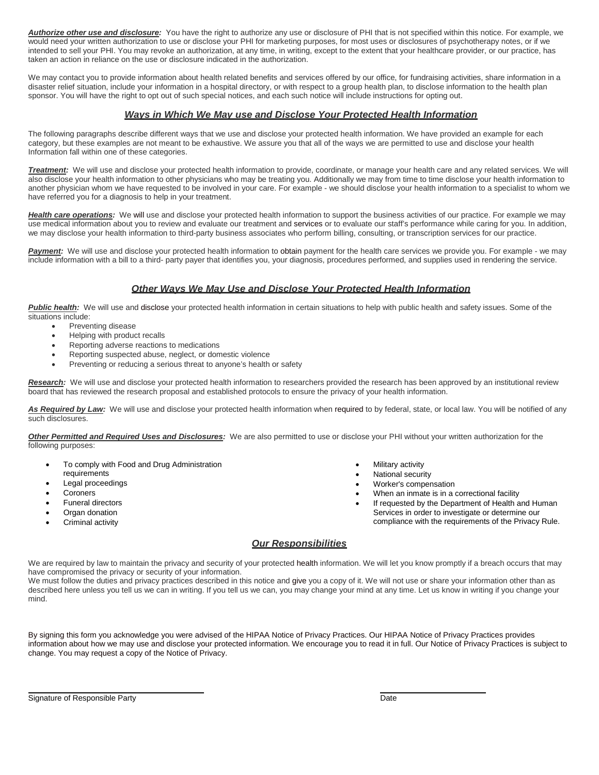*Authorize other use and disclosure:* You have the right to authorize any use or disclosure of PHI that is not specified within this notice. For example, we would need your written authorization to use or disclose your PHI for marketing purposes, for most uses or disclosures of psychotherapy notes, or if we intended to sell your PHI. You may revoke an authorization, at any time, in writing, except to the extent that your healthcare provider, or our practice, has taken an action in reliance on the use or disclosure indicated in the authorization.

We may contact you to provide information about health related benefits and services offered by our office, for fundraising activities, share information in a disaster relief situation, include your information in a hospital directory, or with respect to a group health plan, to disclose information to the health plan sponsor. You will have the right to opt out of such special notices, and each such notice will include instructions for opting out.

#### *Ways in Which We May use and Disclose Your Protected Health Information*

The following paragraphs describe different ways that we use and disclose your protected health information. We have provided an example for each category, but these examples are not meant to be exhaustive. We assure you that all of the ways we are permitted to use and disclose your health Information fall within one of these categories.

*Treatment:* We will use and disclose your protected health information to provide, coordinate, or manage your health care and any related services. We will also disclose your health information to other physicians who may be treating you. Additionally we may from time to time disclose your health information to another physician whom we have requested to be involved in your care. For example - we should disclose your health information to a specialist to whom we have referred you for a diagnosis to help in your treatment.

*Health care operations:* We will use and disclose your protected health information to support the business activities of our practice. For example we may use medical information about you to review and evaluate our treatment and services or to evaluate our staff's performance while caring for you. In addition, we may disclose your health information to third-party business associates who perform billing, consulting, or transcription services for our practice.

Payment: We will use and disclose your protected health information to obtain payment for the health care services we provide you. For example - we may include information with a bill to a third- party payer that identifies you, your diagnosis, procedures performed, and supplies used in rendering the service.

#### *Other Ways We May Use and Disclose Your Protected Health Information*

*Public health:* We will use and disclose your protected health information in certain situations to help with public health and safety issues. Some of the situations include:

- Preventing disease
- Helping with product recalls
- Reporting adverse reactions to medications
- Reporting suspected abuse, neglect, or domestic violence
- Preventing or reducing a serious threat to anyone's health or safety

Research: We will use and disclose your protected health information to researchers provided the research has been approved by an institutional review board that has reviewed the research proposal and established protocols to ensure the privacy of your health information.

As Required by Law: We will use and disclose your protected health information when required to by federal, state, or local law. You will be notified of any such disclosures.

*Other Permitted and Required Uses and Disclosures:* We are also permitted to use or disclose your PHI without your written authorization for the following purposes:

- To comply with Food and Drug Administration
- requirements
- Legal proceedings
- Coroners
- Funeral directors
- Organ donation
- Criminal activity
- Military activity
- National security
- Worker's compensation
- When an inmate is in a correctional facility
- If requested by the Department of Health and Human Services in order to investigate or determine our compliance with the requirements of the Privacy Rule.

#### *Our Responsibilities*

We are required by law to maintain the privacy and security of your protected health information. We will let you know promptly if a breach occurs that may have compromised the privacy or security of your information.

We must follow the duties and privacy practices described in this notice and give you a copy of it. We will not use or share your information other than as described here unless you tell us we can in writing. If you tell us we can, you may change your mind at any time. Let us know in writing if you change your mind.

By signing this form you acknowledge you were advised of the HIPAA Notice of Privacy Practices. Our HIPAA Notice of Privacy Practices provides information about how we may use and disclose your protected information. We encourage you to read it in full. Our Notice of Privacy Practices is subject to change. You may request a copy of the Notice of Privacy.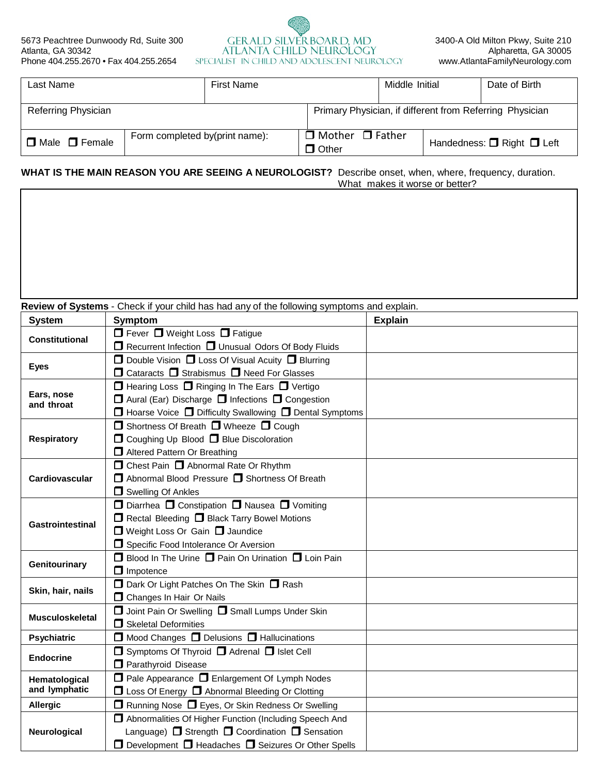

| Last Name                 |                                | <b>First Name</b> |                                             | Middle Initial | Date of Birth                                            |
|---------------------------|--------------------------------|-------------------|---------------------------------------------|----------------|----------------------------------------------------------|
| Referring Physician       |                                |                   |                                             |                | Primary Physician, if different from Referring Physician |
| $\Box$ Male $\Box$ Female | Form completed by(print name): |                   | $\Box$ Mother $\Box$ Father<br>$\Box$ Other |                | Handedness: $\Box$ Right $\Box$ Left                     |

#### **WHAT IS THE MAIN REASON YOU ARE SEEING A NEUROLOGIST?** Describe onset, when, where, frequency, duration. What makes it worse or better?

**Review of Systems** - Check if your child has had any of the following symptoms and explain.

| <b>System</b>            | <b>Symptom</b>                                                          | <b>Explain</b> |
|--------------------------|-------------------------------------------------------------------------|----------------|
| <b>Constitutional</b>    | $\Box$ Fever $\Box$ Weight Loss $\Box$ Fatigue                          |                |
|                          | □ Recurrent Infection □ Unusual Odors Of Body Fluids                    |                |
| <b>Eyes</b>              | □ Double Vision □ Loss Of Visual Acuity □ Blurring                      |                |
|                          | $\Box$ Cataracts $\Box$ Strabismus $\Box$ Need For Glasses              |                |
|                          | $\Box$ Hearing Loss $\Box$ Ringing In The Ears $\Box$ Vertigo           |                |
| Ears, nose<br>and throat | □ Aural (Ear) Discharge □ Infections □ Congestion                       |                |
|                          | $\Box$ Hoarse Voice $\Box$ Difficulty Swallowing $\Box$ Dental Symptoms |                |
|                          | $\Box$ Shortness Of Breath $\Box$ Wheeze $\Box$ Cough                   |                |
| <b>Respiratory</b>       | □ Coughing Up Blood □ Blue Discoloration                                |                |
|                          | Altered Pattern Or Breathing                                            |                |
|                          | □ Chest Pain □ Abnormal Rate Or Rhythm                                  |                |
| Cardiovascular           | $\Box$ Abnormal Blood Pressure $\Box$ Shortness Of Breath               |                |
|                          | $\Box$ Swelling Of Ankles                                               |                |
|                          | □ Diarrhea □ Constipation □ Nausea □ Vomiting                           |                |
| <b>Gastrointestinal</b>  | Rectal Bleeding <b>D</b> Black Tarry Bowel Motions                      |                |
|                          | □ Weight Loss Or Gain □ Jaundice                                        |                |
|                          | Specific Food Intolerance Or Aversion                                   |                |
| Genitourinary            | $\Box$ Blood In The Urine $\Box$ Pain On Urination $\Box$ Loin Pain     |                |
|                          | $\Box$ Impotence                                                        |                |
| Skin, hair, nails        | D Dark Or Light Patches On The Skin D Rash                              |                |
|                          | <b>O</b> Changes In Hair Or Nails                                       |                |
| <b>Musculoskeletal</b>   | Joint Pain Or Swelling <b>D</b> Small Lumps Under Skin                  |                |
|                          | Skeletal Deformities                                                    |                |
| <b>Psychiatric</b>       | □ Mood Changes □ Delusions □ Hallucinations                             |                |
| <b>Endocrine</b>         | $\Box$ Symptoms Of Thyroid $\Box$ Adrenal $\Box$ Islet Cell             |                |
|                          | Parathyroid Disease                                                     |                |
| Hematological            | □ Pale Appearance □ Enlargement Of Lymph Nodes                          |                |
| and lymphatic            | □ Loss Of Energy □ Abnormal Bleeding Or Clotting                        |                |
| <b>Allergic</b>          | $\Box$ Running Nose $\Box$ Eyes, Or Skin Redness Or Swelling            |                |
|                          | Abnormalities Of Higher Function (Including Speech And                  |                |
| Neurological             | Language) $\Box$ Strength $\Box$ Coordination $\Box$ Sensation          |                |
|                          | $\Box$ Development $\Box$ Headaches $\Box$ Seizures Or Other Spells     |                |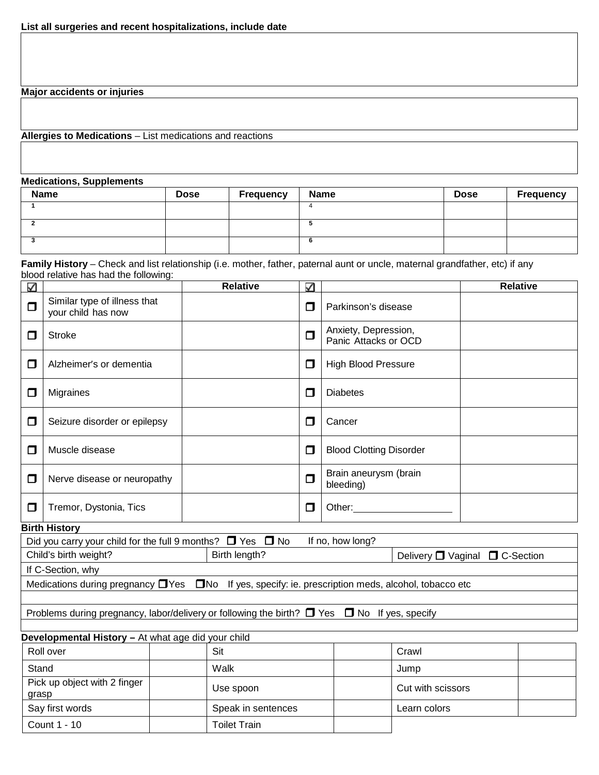**Major accidents or injuries**

**Allergies to Medications** – List medications and reactions

Count 1 - 10 | Toilet Train

**Medications, Supplements**

| <b>Name</b> | <b>Dose</b> | <b>Frequency</b> | <b>Name</b> | <b>Dose</b> | <b>Frequency</b> |
|-------------|-------------|------------------|-------------|-------------|------------------|
|             |             |                  |             |             |                  |
|             |             |                  |             |             |                  |
|             |             |                  |             |             |                  |

**Family History** – Check and list relationship (i.e. mother, father, paternal aunt or uncle, maternal grandfather, etc) if any blood relative has had the following:

| $\checkmark$ |                                                                                                                |  | <b>Relative</b>    | ✓                 |                                                                                                                                                                                                                                |                                |  | <b>Relative</b> |
|--------------|----------------------------------------------------------------------------------------------------------------|--|--------------------|-------------------|--------------------------------------------------------------------------------------------------------------------------------------------------------------------------------------------------------------------------------|--------------------------------|--|-----------------|
| Ω            | Similar type of illness that<br>your child has now                                                             |  |                    | $\Box$            | Parkinson's disease                                                                                                                                                                                                            |                                |  |                 |
| ◘            | <b>Stroke</b>                                                                                                  |  |                    | $\Box$            | Anxiety, Depression,<br>Panic Attacks or OCD                                                                                                                                                                                   |                                |  |                 |
| $\Box$       | Alzheimer's or dementia                                                                                        |  |                    | $\Box$            | <b>High Blood Pressure</b>                                                                                                                                                                                                     |                                |  |                 |
| ◻            | Migraines                                                                                                      |  |                    | $\Box$            | <b>Diabetes</b>                                                                                                                                                                                                                |                                |  |                 |
| □            | Seizure disorder or epilepsy                                                                                   |  |                    | $\Box$            | Cancer                                                                                                                                                                                                                         |                                |  |                 |
| П            | Muscle disease                                                                                                 |  |                    | $\Box$            | <b>Blood Clotting Disorder</b>                                                                                                                                                                                                 |                                |  |                 |
| ◘            | Nerve disease or neuropathy                                                                                    |  |                    | $\Box$            | Brain aneurysm (brain<br>bleeding)                                                                                                                                                                                             |                                |  |                 |
| □            | Tremor, Dystonia, Tics                                                                                         |  |                    | $\Box$            | Other: and the control of the control of the control of the control of the control of the control of the control of the control of the control of the control of the control of the control of the control of the control of t |                                |  |                 |
|              | <b>Birth History</b>                                                                                           |  |                    |                   |                                                                                                                                                                                                                                |                                |  |                 |
|              | Did you carry your child for the full 9 months? $\Box$ Yes $\Box$ No                                           |  |                    |                   | If no, how long?                                                                                                                                                                                                               |                                |  |                 |
|              | Child's birth weight?                                                                                          |  | Birth length?      |                   |                                                                                                                                                                                                                                | Delivery □ Vaginal □ C-Section |  |                 |
|              | If C-Section, why                                                                                              |  |                    |                   |                                                                                                                                                                                                                                |                                |  |                 |
|              | Medications during pregnancy $\Box$ Yes $\Box$ No If yes, specify: ie. prescription meds, alcohol, tobacco etc |  |                    |                   |                                                                                                                                                                                                                                |                                |  |                 |
|              |                                                                                                                |  |                    |                   |                                                                                                                                                                                                                                |                                |  |                 |
|              | Problems during pregnancy, labor/delivery or following the birth? $\Box$ Yes $\Box$ No If yes, specify         |  |                    |                   |                                                                                                                                                                                                                                |                                |  |                 |
|              |                                                                                                                |  |                    |                   |                                                                                                                                                                                                                                |                                |  |                 |
|              | Developmental History - At what age did your child<br>Roll over                                                |  | Sit                |                   |                                                                                                                                                                                                                                | Crawl                          |  |                 |
|              |                                                                                                                |  |                    |                   |                                                                                                                                                                                                                                |                                |  |                 |
| Stand        |                                                                                                                |  | Walk               |                   |                                                                                                                                                                                                                                | Jump                           |  |                 |
| grasp        | Pick up object with 2 finger                                                                                   |  | Use spoon          | Cut with scissors |                                                                                                                                                                                                                                |                                |  |                 |
|              | Say first words                                                                                                |  | Speak in sentences |                   |                                                                                                                                                                                                                                | Learn colors                   |  |                 |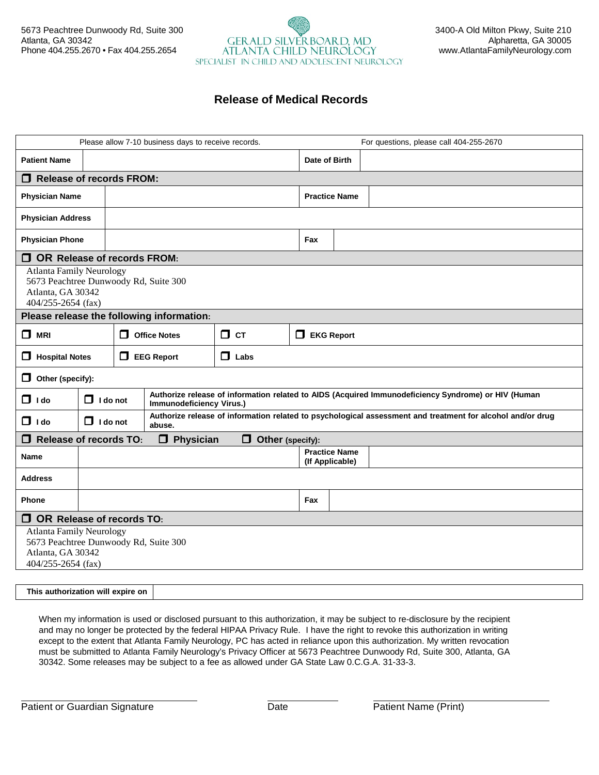## 5673 Peachtree Dunwoody Rd, Suite 300 3400-A Old Milton Pkwy, Suite 210 Atlanta, GA 30342 <br>Alpharetta, GA 30005<br>ATLANTA CHILD NEUROLOGY www.AtlantaFamilyNeurology.com ATLANTA CHILD NEUROLOGY [www.AtlantaFamilyNeurology.com](http://www.atlantafamilyneurology.com/) SPECIALIST IN CHILD AND ADOLESCENT NEUROLOGY

# **Release of Medical Records**

| Please allow 7-10 business days to receive records.                                                                     |                                 |                                                       |                                           |                       |                                         |               |                                                                                                            |  |
|-------------------------------------------------------------------------------------------------------------------------|---------------------------------|-------------------------------------------------------|-------------------------------------------|-----------------------|-----------------------------------------|---------------|------------------------------------------------------------------------------------------------------------|--|
|                                                                                                                         |                                 | For questions, please call 404-255-2670               |                                           |                       |                                         |               |                                                                                                            |  |
| <b>Patient Name</b>                                                                                                     |                                 |                                                       |                                           |                       |                                         | Date of Birth |                                                                                                            |  |
| Ο.                                                                                                                      | <b>Release of records FROM:</b> |                                                       |                                           |                       |                                         |               |                                                                                                            |  |
| <b>Physician Name</b>                                                                                                   |                                 |                                                       |                                           |                       | <b>Practice Name</b>                    |               |                                                                                                            |  |
| <b>Physician Address</b>                                                                                                |                                 |                                                       |                                           |                       |                                         |               |                                                                                                            |  |
| <b>Physician Phone</b>                                                                                                  |                                 |                                                       |                                           |                       | Fax                                     |               |                                                                                                            |  |
| П.<br><b>OR Release of records FROM:</b>                                                                                |                                 |                                                       |                                           |                       |                                         |               |                                                                                                            |  |
| <b>Atlanta Family Neurology</b><br>5673 Peachtree Dunwoody Rd, Suite 300<br>Atlanta, GA 30342<br>$404/255 - 2654$ (fax) |                                 |                                                       |                                           |                       |                                         |               |                                                                                                            |  |
|                                                                                                                         |                                 |                                                       | Please release the following information: |                       |                                         |               |                                                                                                            |  |
| $\Box$ MRI                                                                                                              |                                 | $\Box$ CT<br>$\Box$ Office Notes<br>$\Box$ EKG Report |                                           |                       |                                         |               |                                                                                                            |  |
| 0<br><b>Hospital Notes</b>                                                                                              |                                 |                                                       | $\Box$ EEG Report                         | $\Box$ Labs           |                                         |               |                                                                                                            |  |
| Other (specify):<br>◻                                                                                                   |                                 |                                                       |                                           |                       |                                         |               |                                                                                                            |  |
| $\Box$ I do                                                                                                             | $\Box$ I do not                 |                                                       | Immunodeficiency Virus.)                  |                       |                                         |               | Authorize release of information related to AIDS (Acquired Immunodeficiency Syndrome) or HIV (Human        |  |
| $\Box$ I do                                                                                                             | $\Box$ I do not                 |                                                       | abuse.                                    |                       |                                         |               | Authorize release of information related to psychological assessment and treatment for alcohol and/or drug |  |
| <b>Release of records TO:</b><br>◻                                                                                      |                                 |                                                       | 0<br><b>Physician</b>                     | 0<br>Other (specify): |                                         |               |                                                                                                            |  |
| <b>Name</b>                                                                                                             |                                 |                                                       |                                           |                       | <b>Practice Name</b><br>(If Applicable) |               |                                                                                                            |  |
| <b>Address</b>                                                                                                          |                                 |                                                       |                                           |                       |                                         |               |                                                                                                            |  |
| Phone                                                                                                                   | Fax                             |                                                       |                                           |                       |                                         |               |                                                                                                            |  |
| Ο.<br>OR Release of records TO:                                                                                         |                                 |                                                       |                                           |                       |                                         |               |                                                                                                            |  |
| <b>Atlanta Family Neurology</b><br>5673 Peachtree Dunwoody Rd, Suite 300<br>Atlanta, GA 30342<br>404/255-2654 (fax)     |                                 |                                                       |                                           |                       |                                         |               |                                                                                                            |  |
|                                                                                                                         |                                 |                                                       |                                           |                       |                                         |               |                                                                                                            |  |

**This authorization will expire on**

When my information is used or disclosed pursuant to this authorization, it may be subject to re-disclosure by the recipient and may no longer be protected by the federal HIPAA Privacy Rule. I have the right to revoke this authorization in writing except to the extent that Atlanta Family Neurology, PC has acted in reliance upon this authorization. My written revocation must be submitted to Atlanta Family Neurology's Privacy Officer at 5673 Peachtree Dunwoody Rd, Suite 300, Atlanta, GA 30342. Some releases may be subject to a fee as allowed under GA State Law 0.C.G.A. 31-33-3.

Patient or Guardian Signature **National Signature** Date **Date Patient Name (Print)**